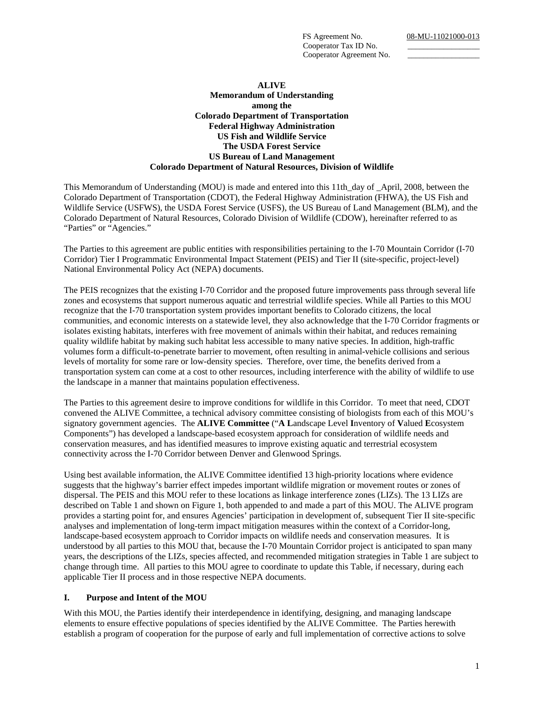Cooperator Tax ID No. Cooperator Agreement No.

#### **ALIVE**

#### **Memorandum of Understanding among the Colorado Department of Transportation Federal Highway Administration US Fish and Wildlife Service The USDA Forest Service US Bureau of Land Management Colorado Department of Natural Resources, Division of Wildlife**

This Memorandum of Understanding (MOU) is made and entered into this 11th\_day of \_April, 2008, between the Colorado Department of Transportation (CDOT), the Federal Highway Administration (FHWA), the US Fish and Wildlife Service (USFWS), the USDA Forest Service (USFS), the US Bureau of Land Management (BLM), and the Colorado Department of Natural Resources, Colorado Division of Wildlife (CDOW), hereinafter referred to as "Parties" or "Agencies."

The Parties to this agreement are public entities with responsibilities pertaining to the I-70 Mountain Corridor (I-70 Corridor) Tier I Programmatic Environmental Impact Statement (PEIS) and Tier II (site-specific, project-level) National Environmental Policy Act (NEPA) documents.

The PEIS recognizes that the existing I-70 Corridor and the proposed future improvements pass through several life zones and ecosystems that support numerous aquatic and terrestrial wildlife species. While all Parties to this MOU recognize that the I-70 transportation system provides important benefits to Colorado citizens, the local communities, and economic interests on a statewide level, they also acknowledge that the I-70 Corridor fragments or isolates existing habitats, interferes with free movement of animals within their habitat, and reduces remaining quality wildlife habitat by making such habitat less accessible to many native species. In addition, high-traffic volumes form a difficult-to-penetrate barrier to movement, often resulting in animal-vehicle collisions and serious levels of mortality for some rare or low-density species. Therefore, over time, the benefits derived from a transportation system can come at a cost to other resources, including interference with the ability of wildlife to use the landscape in a manner that maintains population effectiveness.

The Parties to this agreement desire to improve conditions for wildlife in this Corridor. To meet that need, CDOT convened the ALIVE Committee, a technical advisory committee consisting of biologists from each of this MOU's signatory government agencies. The **ALIVE Committee** ("**A L**andscape Level **I**nventory of **V**alued **E**cosystem Components") has developed a landscape-based ecosystem approach for consideration of wildlife needs and conservation measures, and has identified measures to improve existing aquatic and terrestrial ecosystem connectivity across the I-70 Corridor between Denver and Glenwood Springs.

Using best available information, the ALIVE Committee identified 13 high-priority locations where evidence suggests that the highway's barrier effect impedes important wildlife migration or movement routes or zones of dispersal. The PEIS and this MOU refer to these locations as linkage interference zones (LIZs). The 13 LIZs are described on Table 1 and shown on Figure 1, both appended to and made a part of this MOU. The ALIVE program provides a starting point for, and ensures Agencies' participation in development of, subsequent Tier II site-specific analyses and implementation of long-term impact mitigation measures within the context of a Corridor-long, landscape-based ecosystem approach to Corridor impacts on wildlife needs and conservation measures. It is understood by all parties to this MOU that, because the I-70 Mountain Corridor project is anticipated to span many years, the descriptions of the LIZs, species affected, and recommended mitigation strategies in Table 1 are subject to change through time. All parties to this MOU agree to coordinate to update this Table, if necessary, during each applicable Tier II process and in those respective NEPA documents.

#### **I. Purpose and Intent of the MOU**

With this MOU, the Parties identify their interdependence in identifying, designing, and managing landscape elements to ensure effective populations of species identified by the ALIVE Committee. The Parties herewith establish a program of cooperation for the purpose of early and full implementation of corrective actions to solve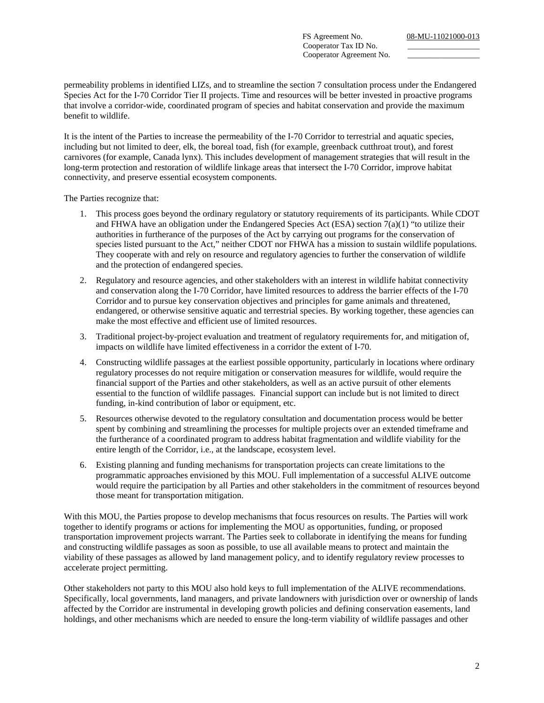Cooperator Tax ID No. Cooperator Agreement No.

permeability problems in identified LIZs, and to streamline the section 7 consultation process under the Endangered Species Act for the I-70 Corridor Tier II projects. Time and resources will be better invested in proactive programs that involve a corridor-wide, coordinated program of species and habitat conservation and provide the maximum benefit to wildlife.

It is the intent of the Parties to increase the permeability of the I-70 Corridor to terrestrial and aquatic species, including but not limited to deer, elk, the boreal toad, fish (for example, greenback cutthroat trout), and forest carnivores (for example, Canada lynx). This includes development of management strategies that will result in the long-term protection and restoration of wildlife linkage areas that intersect the I-70 Corridor, improve habitat connectivity, and preserve essential ecosystem components.

The Parties recognize that:

- 1. This process goes beyond the ordinary regulatory or statutory requirements of its participants. While CDOT and FHWA have an obligation under the Endangered Species Act (ESA) section 7(a)(1) "to utilize their authorities in furtherance of the purposes of the Act by carrying out programs for the conservation of species listed pursuant to the Act," neither CDOT nor FHWA has a mission to sustain wildlife populations. They cooperate with and rely on resource and regulatory agencies to further the conservation of wildlife and the protection of endangered species.
- 2. Regulatory and resource agencies, and other stakeholders with an interest in wildlife habitat connectivity and conservation along the I-70 Corridor, have limited resources to address the barrier effects of the I-70 Corridor and to pursue key conservation objectives and principles for game animals and threatened, endangered, or otherwise sensitive aquatic and terrestrial species. By working together, these agencies can make the most effective and efficient use of limited resources.
- 3. Traditional project-by-project evaluation and treatment of regulatory requirements for, and mitigation of, impacts on wildlife have limited effectiveness in a corridor the extent of I-70.
- 4. Constructing wildlife passages at the earliest possible opportunity, particularly in locations where ordinary regulatory processes do not require mitigation or conservation measures for wildlife, would require the financial support of the Parties and other stakeholders, as well as an active pursuit of other elements essential to the function of wildlife passages. Financial support can include but is not limited to direct funding, in-kind contribution of labor or equipment, etc.
- 5. Resources otherwise devoted to the regulatory consultation and documentation process would be better spent by combining and streamlining the processes for multiple projects over an extended timeframe and the furtherance of a coordinated program to address habitat fragmentation and wildlife viability for the entire length of the Corridor, i.e., at the landscape, ecosystem level.
- 6. Existing planning and funding mechanisms for transportation projects can create limitations to the programmatic approaches envisioned by this MOU. Full implementation of a successful ALIVE outcome would require the participation by all Parties and other stakeholders in the commitment of resources beyond those meant for transportation mitigation.

With this MOU, the Parties propose to develop mechanisms that focus resources on results. The Parties will work together to identify programs or actions for implementing the MOU as opportunities, funding, or proposed transportation improvement projects warrant. The Parties seek to collaborate in identifying the means for funding and constructing wildlife passages as soon as possible, to use all available means to protect and maintain the viability of these passages as allowed by land management policy, and to identify regulatory review processes to accelerate project permitting.

Other stakeholders not party to this MOU also hold keys to full implementation of the ALIVE recommendations. Specifically, local governments, land managers, and private landowners with jurisdiction over or ownership of lands affected by the Corridor are instrumental in developing growth policies and defining conservation easements, land holdings, and other mechanisms which are needed to ensure the long-term viability of wildlife passages and other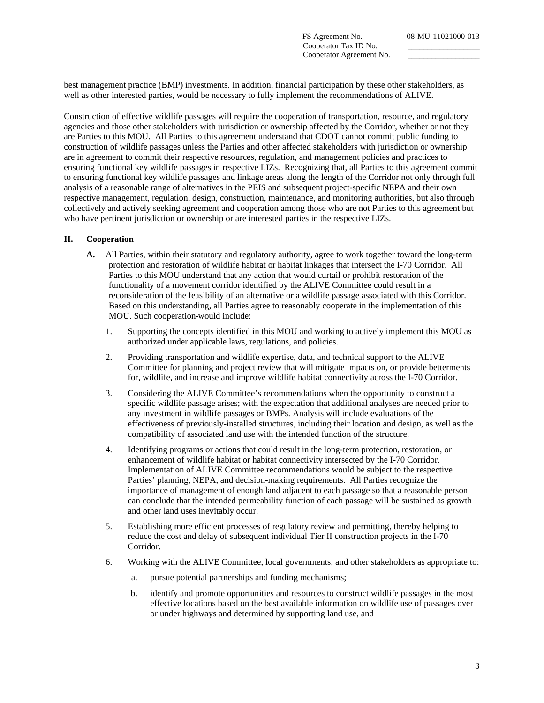Cooperator Tax ID No. Cooperator Agreement No.

best management practice (BMP) investments. In addition, financial participation by these other stakeholders, as well as other interested parties, would be necessary to fully implement the recommendations of ALIVE.

Construction of effective wildlife passages will require the cooperation of transportation, resource, and regulatory agencies and those other stakeholders with jurisdiction or ownership affected by the Corridor, whether or not they are Parties to this MOU. All Parties to this agreement understand that CDOT cannot commit public funding to construction of wildlife passages unless the Parties and other affected stakeholders with jurisdiction or ownership are in agreement to commit their respective resources, regulation, and management policies and practices to ensuring functional key wildlife passages in respective LIZs. Recognizing that, all Parties to this agreement commit to ensuring functional key wildlife passages and linkage areas along the length of the Corridor not only through full analysis of a reasonable range of alternatives in the PEIS and subsequent project-specific NEPA and their own respective management, regulation, design, construction, maintenance, and monitoring authorities, but also through collectively and actively seeking agreement and cooperation among those who are not Parties to this agreement but who have pertinent jurisdiction or ownership or are interested parties in the respective LIZs.

#### **II. Cooperation**

- **A.** All Parties, within their statutory and regulatory authority, agree to work together toward the long-term protection and restoration of wildlife habitat or habitat linkages that intersect the I-70 Corridor. All Parties to this MOU understand that any action that would curtail or prohibit restoration of the functionality of a movement corridor identified by the ALIVE Committee could result in a reconsideration of the feasibility of an alternative or a wildlife passage associated with this Corridor. Based on this understanding, all Parties agree to reasonably cooperate in the implementation of this MOU. Such cooperation would include:
	- 1. Supporting the concepts identified in this MOU and working to actively implement this MOU as authorized under applicable laws, regulations, and policies.
	- 2. Providing transportation and wildlife expertise, data, and technical support to the ALIVE Committee for planning and project review that will mitigate impacts on, or provide betterments for, wildlife, and increase and improve wildlife habitat connectivity across the I-70 Corridor.
	- 3. Considering the ALIVE Committee's recommendations when the opportunity to construct a specific wildlife passage arises; with the expectation that additional analyses are needed prior to any investment in wildlife passages or BMPs. Analysis will include evaluations of the effectiveness of previously-installed structures, including their location and design, as well as the compatibility of associated land use with the intended function of the structure.
	- 4. Identifying programs or actions that could result in the long-term protection, restoration, or enhancement of wildlife habitat or habitat connectivity intersected by the I-70 Corridor. Implementation of ALIVE Committee recommendations would be subject to the respective Parties' planning, NEPA, and decision-making requirements. All Parties recognize the importance of management of enough land adjacent to each passage so that a reasonable person can conclude that the intended permeability function of each passage will be sustained as growth and other land uses inevitably occur.
	- 5. Establishing more efficient processes of regulatory review and permitting, thereby helping to reduce the cost and delay of subsequent individual Tier II construction projects in the I-70 Corridor.
	- 6. Working with the ALIVE Committee, local governments, and other stakeholders as appropriate to:
		- a. pursue potential partnerships and funding mechanisms;
		- b. identify and promote opportunities and resources to construct wildlife passages in the most effective locations based on the best available information on wildlife use of passages over or under highways and determined by supporting land use, and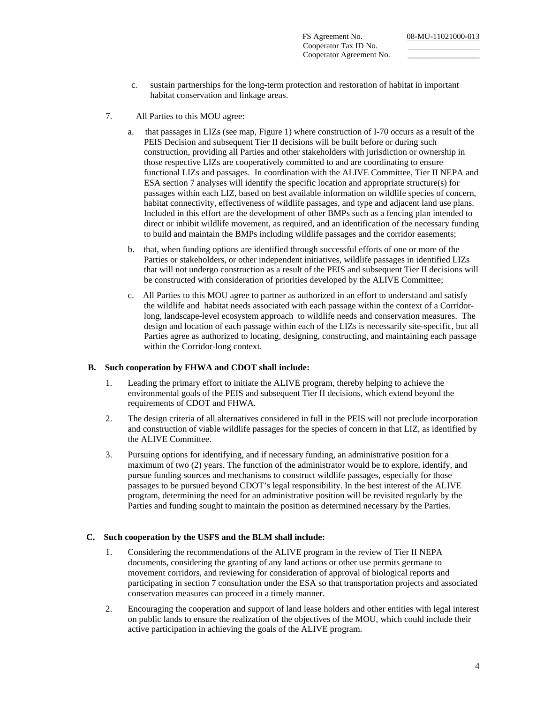Cooperator Tax ID No. Cooperator Agreement No.

- c. sustain partnerships for the long-term protection and restoration of habitat in important habitat conservation and linkage areas.
- 7. All Parties to this MOU agree:
	- a. that passages in LIZs (see map, Figure 1) where construction of I-70 occurs as a result of the PEIS Decision and subsequent Tier II decisions will be built before or during such construction, providing all Parties and other stakeholders with jurisdiction or ownership in those respective LIZs are cooperatively committed to and are coordinating to ensure functional LIZs and passages. In coordination with the ALIVE Committee, Tier II NEPA and ESA section 7 analyses will identify the specific location and appropriate structure(s) for passages within each LIZ, based on best available information on wildlife species of concern, habitat connectivity, effectiveness of wildlife passages, and type and adjacent land use plans. Included in this effort are the development of other BMPs such as a fencing plan intended to direct or inhibit wildlife movement, as required, and an identification of the necessary funding to build and maintain the BMPs including wildlife passages and the corridor easements;
	- b. that, when funding options are identified through successful efforts of one or more of the Parties or stakeholders, or other independent initiatives, wildlife passages in identified LIZs that will not undergo construction as a result of the PEIS and subsequent Tier II decisions will be constructed with consideration of priorities developed by the ALIVE Committee;
	- c. All Parties to this MOU agree to partner as authorized in an effort to understand and satisfy the wildlife and habitat needs associated with each passage within the context of a Corridorlong, landscape-level ecosystem approach to wildlife needs and conservation measures. The design and location of each passage within each of the LIZs is necessarily site-specific, but all Parties agree as authorized to locating, designing, constructing, and maintaining each passage within the Corridor-long context.

#### **B. Such cooperation by FHWA and CDOT shall include:**

- 1. Leading the primary effort to initiate the ALIVE program, thereby helping to achieve the environmental goals of the PEIS and subsequent Tier II decisions, which extend beyond the requirements of CDOT and FHWA.
- 2. The design criteria of all alternatives considered in full in the PEIS will not preclude incorporation and construction of viable wildlife passages for the species of concern in that LIZ, as identified by the ALIVE Committee.
- 3. Pursuing options for identifying, and if necessary funding, an administrative position for a maximum of two (2) years. The function of the administrator would be to explore, identify, and pursue funding sources and mechanisms to construct wildlife passages, especially for those passages to be pursued beyond CDOT's legal responsibility. In the best interest of the ALIVE program, determining the need for an administrative position will be revisited regularly by the Parties and funding sought to maintain the position as determined necessary by the Parties.

# **C. Such cooperation by the USFS and the BLM shall include:**

- 1. Considering the recommendations of the ALIVE program in the review of Tier II NEPA documents, considering the granting of any land actions or other use permits germane to movement corridors, and reviewing for consideration of approval of biological reports and participating in section 7 consultation under the ESA so that transportation projects and associated conservation measures can proceed in a timely manner.
- 2. Encouraging the cooperation and support of land lease holders and other entities with legal interest on public lands to ensure the realization of the objectives of the MOU, which could include their active participation in achieving the goals of the ALIVE program.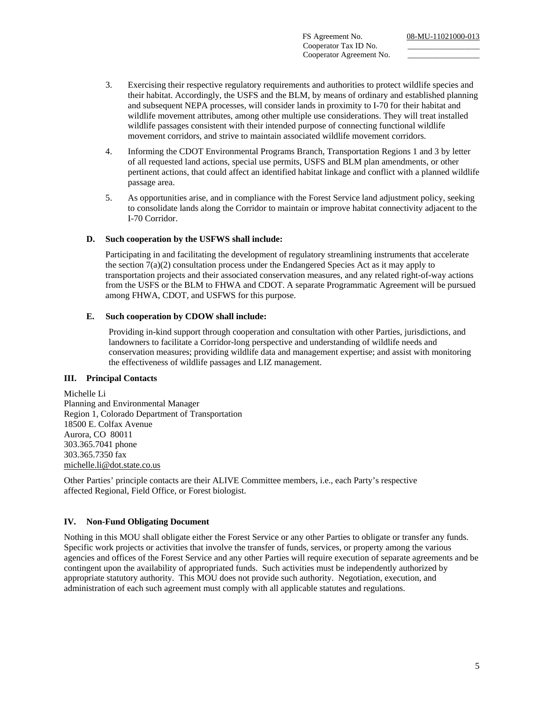FS Agreement No. 08-MU-11021000-013 Cooperator Tax ID No. Cooperator Agreement No.

- 3. Exercising their respective regulatory requirements and authorities to protect wildlife species and their habitat. Accordingly, the USFS and the BLM, by means of ordinary and established planning and subsequent NEPA processes, will consider lands in proximity to I-70 for their habitat and wildlife movement attributes, among other multiple use considerations. They will treat installed wildlife passages consistent with their intended purpose of connecting functional wildlife movement corridors, and strive to maintain associated wildlife movement corridors.
- 4. Informing the CDOT Environmental Programs Branch, Transportation Regions 1 and 3 by letter of all requested land actions, special use permits, USFS and BLM plan amendments, or other pertinent actions, that could affect an identified habitat linkage and conflict with a planned wildlife passage area.
- 5. As opportunities arise, and in compliance with the Forest Service land adjustment policy, seeking to consolidate lands along the Corridor to maintain or improve habitat connectivity adjacent to the I-70 Corridor.

# **D. Such cooperation by the USFWS shall include:**

Participating in and facilitating the development of regulatory streamlining instruments that accelerate the section 7(a)(2) consultation process under the Endangered Species Act as it may apply to transportation projects and their associated conservation measures, and any related right-of-way actions from the USFS or the BLM to FHWA and CDOT. A separate Programmatic Agreement will be pursued among FHWA, CDOT, and USFWS for this purpose.

# **E. Such cooperation by CDOW shall include:**

Providing in-kind support through cooperation and consultation with other Parties, jurisdictions, and landowners to facilitate a Corridor-long perspective and understanding of wildlife needs and conservation measures; providing wildlife data and management expertise; and assist with monitoring the effectiveness of wildlife passages and LIZ management.

# **III. Principal Contacts**

Michelle Li Planning and Environmental Manager Region 1, Colorado Department of Transportation 18500 E. Colfax Avenue Aurora, CO 80011 303.365.7041 phone 303.365.7350 fax michelle.li@dot.state.co.us

Other Parties' principle contacts are their ALIVE Committee members, i.e., each Party's respective affected Regional, Field Office, or Forest biologist.

# **IV. Non-Fund Obligating Document**

Nothing in this MOU shall obligate either the Forest Service or any other Parties to obligate or transfer any funds. Specific work projects or activities that involve the transfer of funds, services, or property among the various agencies and offices of the Forest Service and any other Parties will require execution of separate agreements and be contingent upon the availability of appropriated funds. Such activities must be independently authorized by appropriate statutory authority. This MOU does not provide such authority. Negotiation, execution, and administration of each such agreement must comply with all applicable statutes and regulations.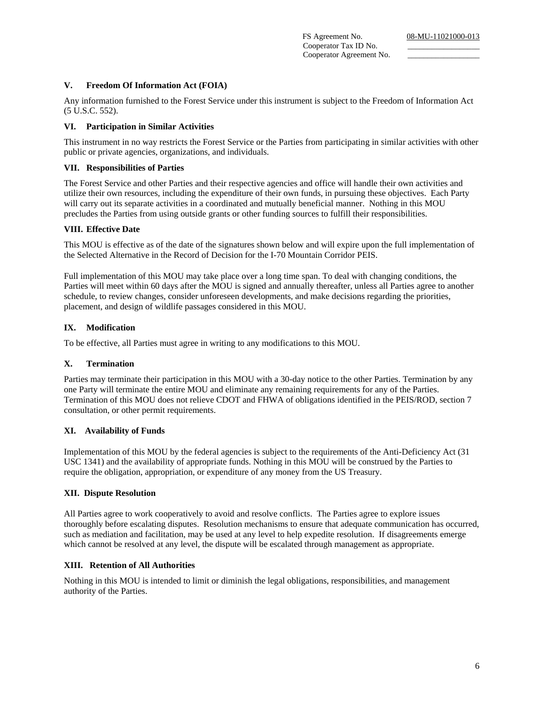FS Agreement No. 08-MU-11021000-013 Cooperator Tax ID No. Cooperator Agreement No.

#### **V. Freedom Of Information Act (FOIA)**

Any information furnished to the Forest Service under this instrument is subject to the Freedom of Information Act (5 U.S.C. 552).

#### **VI. Participation in Similar Activities**

This instrument in no way restricts the Forest Service or the Parties from participating in similar activities with other public or private agencies, organizations, and individuals.

#### **VII. Responsibilities of Parties**

The Forest Service and other Parties and their respective agencies and office will handle their own activities and utilize their own resources, including the expenditure of their own funds, in pursuing these objectives. Each Party will carry out its separate activities in a coordinated and mutually beneficial manner. Nothing in this MOU precludes the Parties from using outside grants or other funding sources to fulfill their responsibilities.

#### **VIII. Effective Date**

This MOU is effective as of the date of the signatures shown below and will expire upon the full implementation of the Selected Alternative in the Record of Decision for the I-70 Mountain Corridor PEIS.

Full implementation of this MOU may take place over a long time span. To deal with changing conditions, the Parties will meet within 60 days after the MOU is signed and annually thereafter, unless all Parties agree to another schedule, to review changes, consider unforeseen developments, and make decisions regarding the priorities, placement, and design of wildlife passages considered in this MOU.

# **IX. Modification**

To be effective, all Parties must agree in writing to any modifications to this MOU.

#### **X. Termination**

Parties may terminate their participation in this MOU with a 30-day notice to the other Parties. Termination by any one Party will terminate the entire MOU and eliminate any remaining requirements for any of the Parties. Termination of this MOU does not relieve CDOT and FHWA of obligations identified in the PEIS/ROD, section 7 consultation, or other permit requirements.

#### **XI. Availability of Funds**

Implementation of this MOU by the federal agencies is subject to the requirements of the Anti-Deficiency Act (31 USC 1341) and the availability of appropriate funds. Nothing in this MOU will be construed by the Parties to require the obligation, appropriation, or expenditure of any money from the US Treasury.

#### **XII. Dispute Resolution**

All Parties agree to work cooperatively to avoid and resolve conflicts. The Parties agree to explore issues thoroughly before escalating disputes. Resolution mechanisms to ensure that adequate communication has occurred, such as mediation and facilitation, may be used at any level to help expedite resolution. If disagreements emerge which cannot be resolved at any level, the dispute will be escalated through management as appropriate.

#### **XIII. Retention of All Authorities**

Nothing in this MOU is intended to limit or diminish the legal obligations, responsibilities, and management authority of the Parties.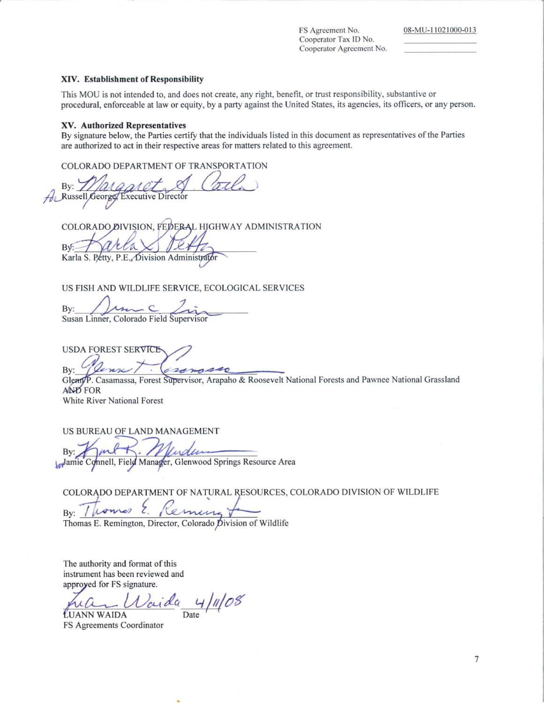FS Agreement No. Cooperator Tax ID No. Cooperator Agreement No.

#### XIV. Establishment of Responsibility

This MOU is not intended to, and does not create, any right, benefit, or trust responsibility, substantive or procedural, enforceable at law or equity, by a party against the United States, its agencies, its officers, or any person.

#### XV. Authorized Representatives

By signature below, the Parties certify that the individuals listed in this document as representatives of the Parties are authorized to act in their respective areas for matters related to this agreement.

COLORADO DEPARTMENT OF TRANSPORTATION

 $Bv:$ A Russell George **Executive Director** 

COLORADO DIVISION, FEDERAL HIGHWAY ADMINISTRATION **B** 

Karla S. Petty, P.E., Division Administrator

US FISH AND WILDLIFE SERVICE, ECOLOGICAL SERVICES

By: Susan Linner, Colorado Field Supervisor

**USDA FOREST SERVICE** zangse By:

Glem/P. Casamassa, Forest Supervisor, Arapaho & Roosevelt National Forests and Pawnee National Grassland AND FOR White River National Forest

US BUREAU OF LAND MANAGEMENT

Bv:

Jamie Connell, Field Manager, Glenwood Springs Resource Area

COLORADO DEPARTMENT OF NATURAL RESOURCES, COLORADO DIVISION OF WILDLIFE

Bv:

Thomas E. Remington, Director, Colorado Division of Wildlife

The authority and format of this instrument has been reviewed and approyed for FS signature.

 $4/11/08$ Date

LUANN WAIDA FS Agreements Coordinator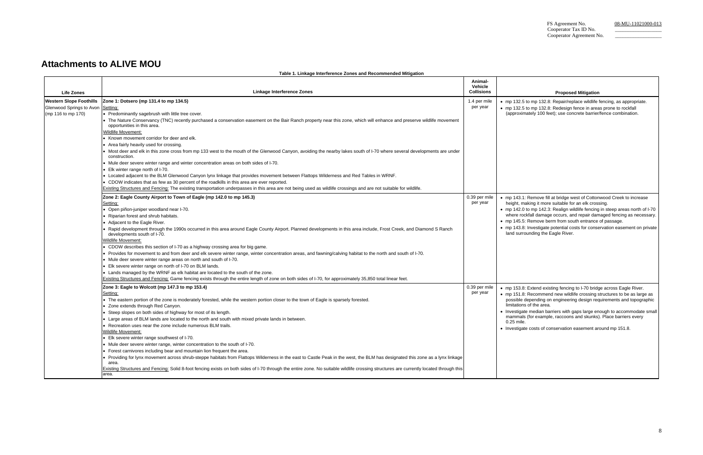# **Attachments to ALIVE MOU**

**Table 1. Linkage Interference Zones and Recommended Mitigation** 

#### **Proposed Mitigation**

• mp 142.0 to mp 142.3: Realign wildlife fencing in steep areas north of I-70 where rockfall damage occurs, and repair damaged fencing as necessary. 45.5: Remove berm from south entrance of passage.

| • mp 132.5 to mp 132.8: Repair/replace wildlife fencing, as appropriate. |
|--------------------------------------------------------------------------|
| • mp 132.5 to mp 132.8: Redesign fence in areas prone to rockfall        |
| (approximately 100 feet); use concrete barrier/fence combination.        |

143.1: Remove fill at bridge west of Cottonwood Creek to increase ht, making it more suitable for an elk crossing.

53.8: Extend existing fencing to I-70 bridge across Eagle River. 151.8: Recommend new wildlife crossing structures to be as large as ible depending on engineering design requirements and topographic limitations of the area.

| <b>Life Zones</b>                                          | Linkage Interference Zones                                                                                                                                                                                                             | Animal-<br><b>Vehicle</b><br><b>Collisions</b> |                              |
|------------------------------------------------------------|----------------------------------------------------------------------------------------------------------------------------------------------------------------------------------------------------------------------------------------|------------------------------------------------|------------------------------|
| <b>Western Slope Foothills</b><br>Glenwood Springs to Avon | Zone 1: Dotsero (mp 131.4 to mp 134.5)<br>Setting:                                                                                                                                                                                     | 1.4 per mile<br>per year                       | • mp 132.5 t                 |
| (mp 116 to mp 170)                                         | • Predominantly sagebrush with little tree cover.                                                                                                                                                                                      |                                                | • mp $132.51$<br>(approxim   |
|                                                            | • The Nature Conservancy (TNC) recently purchased a conservation easement on the Bair Ranch property near this zone, which will enhance and preserve wildlife movement<br>opportunities in this area.                                  |                                                |                              |
|                                                            | <b>Wildlife Movement:</b>                                                                                                                                                                                                              |                                                |                              |
|                                                            | • Known movement corridor for deer and elk.                                                                                                                                                                                            |                                                |                              |
|                                                            | • Area fairly heavily used for crossing.<br>• Most deer and elk in this zone cross from mp 133 west to the mouth of the Glenwood Canyon, avoiding the nearby lakes south of I-70 where several developments are under<br>construction. |                                                |                              |
|                                                            | • Mule deer severe winter range and winter concentration areas on both sides of I-70.                                                                                                                                                  |                                                |                              |
|                                                            | • Elk winter range north of I-70.                                                                                                                                                                                                      |                                                |                              |
|                                                            | • Located adjacent to the BLM Glenwood Canyon lynx linkage that provides movement between Flattops Wilderness and Red Tables in WRNF.                                                                                                  |                                                |                              |
|                                                            | • CDOW indicates that as few as 30 percent of the roadkills in this area are ever reported.                                                                                                                                            |                                                |                              |
|                                                            | Existing Structures and Fencing: The existing transportation underpasses in this area are not being used as wildlife crossings and are not suitable for wildlife.                                                                      |                                                |                              |
|                                                            | Zone 2: Eagle County Airport to Town of Eagle (mp 142.0 to mp 145.3)                                                                                                                                                                   | 0.39 per mile                                  | • mp $143.1$ :               |
|                                                            | Setting:                                                                                                                                                                                                                               | per year                                       | height, ma                   |
|                                                            | · Open piñon-juniper woodland near I-70.                                                                                                                                                                                               |                                                | • mp $142.01$                |
|                                                            | • Riparian forest and shrub habitats.                                                                                                                                                                                                  |                                                | where rocl                   |
|                                                            | • Adjacent to the Eagle River.                                                                                                                                                                                                         |                                                | • mp $145.5$ :               |
|                                                            | Rapid development through the 1990s occurred in this area around Eagle County Airport. Planned developments in this area include, Frost Creek, and Diamond S Ranch<br>developments south of I-70.                                      |                                                | • mp $143.8$ :<br>land surro |
|                                                            | Wildlife Movement:                                                                                                                                                                                                                     |                                                |                              |
|                                                            | • CDOW describes this section of I-70 as a highway crossing area for big game.                                                                                                                                                         |                                                |                              |
|                                                            | • Provides for movement to and from deer and elk severe winter range, winter concentration areas, and fawning/calving habitat to the north and south of I-70.                                                                          |                                                |                              |
|                                                            | • Mule deer severe winter range areas on north and south of I-70.                                                                                                                                                                      |                                                |                              |
|                                                            | • Elk severe winter range on north of I-70 on BLM lands.                                                                                                                                                                               |                                                |                              |
|                                                            | • Lands managed by the WRNF as elk habitat are located to the south of the zone.                                                                                                                                                       |                                                |                              |
|                                                            | Existing Structures and Fencing: Game fencing exists through the entire length of zone on both sides of I-70, for approximately 35,850 total linear feet.                                                                              |                                                |                              |
|                                                            | Zone 3: Eagle to Wolcott (mp 147.3 to mp 153.4)                                                                                                                                                                                        | 0.39 per mile                                  | • mp 153.8:                  |
|                                                            | Setting:                                                                                                                                                                                                                               | per year                                       | $\bullet$ mp 151.8:          |
|                                                            | • The eastern portion of the zone is moderately forested, while the western portion closer to the town of Eagle is sparsely forested.                                                                                                  |                                                | possible d<br>limitations    |
|                                                            | • Zone extends through Red Canyon.                                                                                                                                                                                                     |                                                | • Investigate                |
|                                                            | • Steep slopes on both sides of highway for most of its length.                                                                                                                                                                        |                                                | mammals                      |
|                                                            | • Large areas of BLM lands are located to the north and south with mixed private lands in between.                                                                                                                                     |                                                | 0.25 mile.                   |
|                                                            | • Recreation uses near the zone include numerous BLM trails.                                                                                                                                                                           |                                                | • Investigate                |
|                                                            | Wildlife Movement:                                                                                                                                                                                                                     |                                                |                              |
|                                                            | • Elk severe winter range southwest of I-70.                                                                                                                                                                                           |                                                |                              |
|                                                            | • Mule deer severe winter range, winter concentration to the south of I-70.<br>• Forest carnivores including bear and mountain lion frequent the area.                                                                                 |                                                |                              |
|                                                            | Providing for lynx movement across shrub-steppe habitats from Flattops Wilderness in the east to Castle Peak in the west, the BLM has designated this zone as a lynx linkage                                                           |                                                |                              |
|                                                            | area.                                                                                                                                                                                                                                  |                                                |                              |
|                                                            | Existing Structures and Fencing: Solid 8-foot fencing exists on both sides of I-70 through the entire zone. No suitable wildlife crossing structures are currently located through this<br>area.                                       |                                                |                              |

• mp 143.8: Investigate potential costs for conservation easement on private land surrounding the Eagle River.

• Investigate median barriers with gaps large enough to accommodate small mammals (for example, raccoons and skunks). Place barriers every

stigate costs of conservation easement around mp 151.8.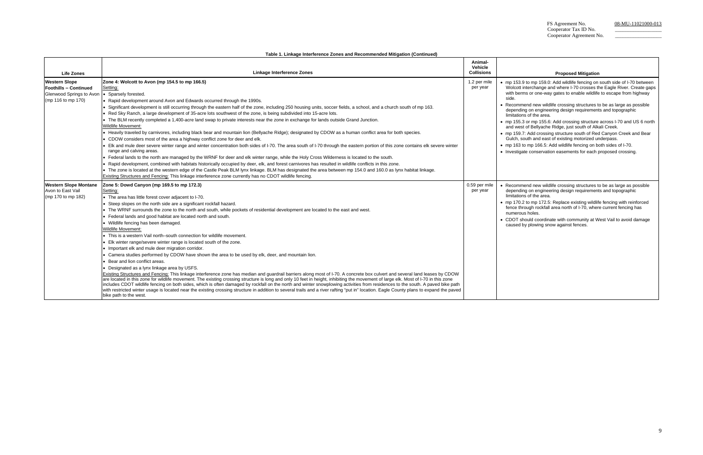mmend new wildlife crossing structures to be as large as possible nding on engineering design requirements and topographic limitations of the area.

|                                                      | Table 1. Linkage Interference Zones and Recommended Mitigation (Continued)                                                                                                                                                                                                                                                                                                                                                                                                                                                                                                                                                                                                                                                                                                   |                                         |                          |
|------------------------------------------------------|------------------------------------------------------------------------------------------------------------------------------------------------------------------------------------------------------------------------------------------------------------------------------------------------------------------------------------------------------------------------------------------------------------------------------------------------------------------------------------------------------------------------------------------------------------------------------------------------------------------------------------------------------------------------------------------------------------------------------------------------------------------------------|-----------------------------------------|--------------------------|
| <b>Life Zones</b>                                    | <b>Linkage Interference Zones</b>                                                                                                                                                                                                                                                                                                                                                                                                                                                                                                                                                                                                                                                                                                                                            | Animal-<br>Vehicle<br><b>Collisions</b> |                          |
| <b>Western Slope</b><br><b>Foothills - Continued</b> | Zone 4: Wolcott to Avon (mp 154.5 to mp 166.5)<br>Setting:                                                                                                                                                                                                                                                                                                                                                                                                                                                                                                                                                                                                                                                                                                                   | 1.2 per mile<br>per year                | $\bullet$ mp 15<br>Wolco |
| Glenwood Springs to Avon   • Sparsely forested.      |                                                                                                                                                                                                                                                                                                                                                                                                                                                                                                                                                                                                                                                                                                                                                                              |                                         | with b                   |
| (mp 116 to mp 170)                                   | • Rapid development around Avon and Edwards occurred through the 1990s.                                                                                                                                                                                                                                                                                                                                                                                                                                                                                                                                                                                                                                                                                                      |                                         | side.                    |
|                                                      | . Significant development is still occurring through the eastern half of the zone, including 250 housing units, soccer fields, a school, and a church south of mp 163.                                                                                                                                                                                                                                                                                                                                                                                                                                                                                                                                                                                                       |                                         | Recon                    |
|                                                      | . Red Sky Ranch, a large development of 35-acre lots southwest of the zone, is being subdivided into 15-acre lots.                                                                                                                                                                                                                                                                                                                                                                                                                                                                                                                                                                                                                                                           |                                         | depen                    |
|                                                      | • The BLM recently completed a 1,400-acre land swap to private interests near the zone in exchange for lands outside Grand Junction.                                                                                                                                                                                                                                                                                                                                                                                                                                                                                                                                                                                                                                         |                                         | limitat                  |
|                                                      | <b>Wildlife Movement:</b>                                                                                                                                                                                                                                                                                                                                                                                                                                                                                                                                                                                                                                                                                                                                                    |                                         | $\bullet$ mp 15<br>and w |
|                                                      | • Heavily traveled by carnivores, including black bear and mountain lion (Bellyache Ridge); designated by CDOW as a human conflict area for both species.                                                                                                                                                                                                                                                                                                                                                                                                                                                                                                                                                                                                                    |                                         | $\bullet$ mp 15          |
|                                                      | • CDOW considers most of the area a highway conflict zone for deer and elk.                                                                                                                                                                                                                                                                                                                                                                                                                                                                                                                                                                                                                                                                                                  |                                         | Gulch                    |
|                                                      | • Elk and mule deer severe winter range and winter concentration both sides of I-70. The area south of I-70 through the eastern portion of this zone contains elk severe winter                                                                                                                                                                                                                                                                                                                                                                                                                                                                                                                                                                                              |                                         | $\bullet$ mp 16          |
|                                                      | range and calving areas.                                                                                                                                                                                                                                                                                                                                                                                                                                                                                                                                                                                                                                                                                                                                                     |                                         | • Invest                 |
|                                                      | • Federal lands to the north are managed by the WRNF for deer and elk winter range, while the Holy Cross Wilderness is located to the south.                                                                                                                                                                                                                                                                                                                                                                                                                                                                                                                                                                                                                                 |                                         |                          |
|                                                      | Rapid development, combined with habitats historically occupied by deer, elk, and forest carnivores has resulted in wildlife conflicts in this zone.                                                                                                                                                                                                                                                                                                                                                                                                                                                                                                                                                                                                                         |                                         |                          |
|                                                      | • The zone is located at the western edge of the Castle Peak BLM lynx linkage. BLM has designated the area between mp 154.0 and 160.0 as lynx habitat linkage.                                                                                                                                                                                                                                                                                                                                                                                                                                                                                                                                                                                                               |                                         |                          |
|                                                      | Existing Structures and Fencing: This linkage interference zone currently has no CDOT wildlife fencing.                                                                                                                                                                                                                                                                                                                                                                                                                                                                                                                                                                                                                                                                      |                                         |                          |
| <b>Western Slope Montane</b>                         | Zone 5: Dowd Canyon (mp 169.5 to mp 172.3)                                                                                                                                                                                                                                                                                                                                                                                                                                                                                                                                                                                                                                                                                                                                   | 0.59 per mile                           | $\bullet$ Recon          |
| Avon to East Vail                                    | Setting:                                                                                                                                                                                                                                                                                                                                                                                                                                                                                                                                                                                                                                                                                                                                                                     | per year                                | depen                    |
| (mp 170 to mp 182)                                   | • The area has little forest cover adjacent to I-70.                                                                                                                                                                                                                                                                                                                                                                                                                                                                                                                                                                                                                                                                                                                         |                                         | limitat                  |
|                                                      | • Steep slopes on the north side are a significant rockfall hazard.                                                                                                                                                                                                                                                                                                                                                                                                                                                                                                                                                                                                                                                                                                          |                                         | $\bullet$ mp 17          |
|                                                      | • The WRNF surrounds the zone to the north and south, while pockets of residential development are located to the east and west.                                                                                                                                                                                                                                                                                                                                                                                                                                                                                                                                                                                                                                             |                                         | fence<br>numer           |
|                                                      | • Federal lands and good habitat are located north and south.                                                                                                                                                                                                                                                                                                                                                                                                                                                                                                                                                                                                                                                                                                                |                                         | <b>CDOT</b>              |
|                                                      | • Wildlife fencing has been damaged.                                                                                                                                                                                                                                                                                                                                                                                                                                                                                                                                                                                                                                                                                                                                         |                                         | cause                    |
|                                                      | <b>Wildlife Movement:</b>                                                                                                                                                                                                                                                                                                                                                                                                                                                                                                                                                                                                                                                                                                                                                    |                                         |                          |
|                                                      | • This is a western Vail north-south connection for wildlife movement.                                                                                                                                                                                                                                                                                                                                                                                                                                                                                                                                                                                                                                                                                                       |                                         |                          |
|                                                      | • Elk winter range/severe winter range is located south of the zone.                                                                                                                                                                                                                                                                                                                                                                                                                                                                                                                                                                                                                                                                                                         |                                         |                          |
|                                                      | • Important elk and mule deer migration corridor.                                                                                                                                                                                                                                                                                                                                                                                                                                                                                                                                                                                                                                                                                                                            |                                         |                          |
|                                                      | • Camera studies performed by CDOW have shown the area to be used by elk, deer, and mountain lion.                                                                                                                                                                                                                                                                                                                                                                                                                                                                                                                                                                                                                                                                           |                                         |                          |
|                                                      | Bear and lion conflict areas.                                                                                                                                                                                                                                                                                                                                                                                                                                                                                                                                                                                                                                                                                                                                                |                                         |                          |
|                                                      | • Designated as a lynx linkage area by USFS.                                                                                                                                                                                                                                                                                                                                                                                                                                                                                                                                                                                                                                                                                                                                 |                                         |                          |
|                                                      | Existing Structures and Fencing: This linkage interference zone has median and guardrail barriers along most of I-70. A concrete box culvert and several land leases by CDOW<br>are located in this zone for wildlife movement. The existing crossing structure is long and only 10 feet in height, inhibiting the movement of large elk. Most of I-70 in this zone<br>includes CDOT wildlife fencing on both sides, which is often damaged by rockfall on the north and winter snowplowing activities from residences to the south. A paved bike path<br>with restricted winter usage is located near the existing crossing structure in addition to several trails and a river rafting "put in" location. Eagle County plans to expand the paved<br>bike path to the west. |                                         |                          |

# **Proposed Mitigation**

53.9 to mp 159.0: Add wildlife fencing on south side of I-70 between ott interchange and where I-70 crosses the Eagle River. Create gaps berms or one-way gates to enable wildlife to escape from highway

mmend new wildlife crossing structures to be as large as possible nding on engineering design requirements and topographic limitations of the area.

70.2 to mp 172.5: Replace existing wildlife fencing with reinforced through rockfall area north of I-70, where current fencing has numerous holes.

F should coordinate with community at West Vail to avoid damage ed by plowing snow against fences.

• mp 155.3 or mp 155.6: Add crossing structure across I-70 and US 6 north and west of Bellyache Ridge, just south of Alkali Creek.

59.7: Add crossing structure south of Red Canyon Creek and Bear , south and east of existing motorized underpass.

63 to mp 166.5: Add wildlife fencing on both sides of I-70.

tigate conservation easements for each proposed crossing.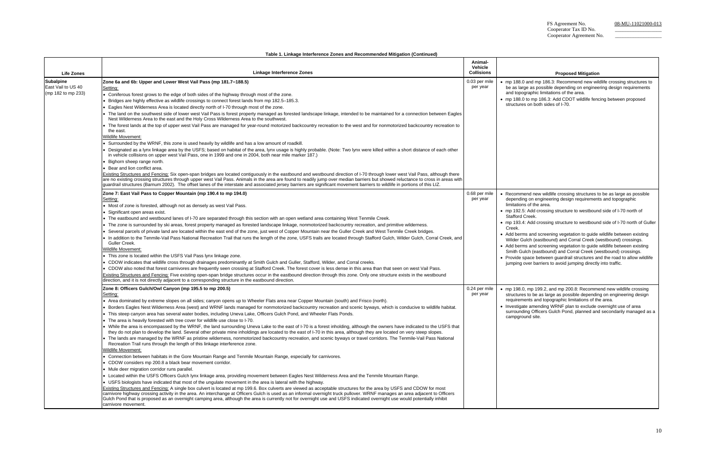• mp 188.0 and mp 186.3: Recommend new wildlife crossing structures to large as possible depending on engineering design requirements opographic limitations of the area.

eformend new wildlife crossing structures to be as large as possible ending on engineering design requirements and topographic limitations of the area.

92.5: Add crossing structure to westbound side of I-70 north of Stafford Creek.

93.4: Add crossing structure to westbound side of I-70 north of Guller

ide space between guardrail structures and the road to allow wildlife jumping over barriers to avoid jumping directly into traffic.

98.0, mp 199.2, and mp 200.8: Recommend new wildlife crossing tures to be as large as possible depending on engineering design irements and topographic limitations of the area.

stigate amending WRNF plan to exclude overnight use of area surrounding Officers Gulch Pond, planned and secondarily managed as a pground site.

• mp 188.0 to mp 186.3: Add CDOT wildlife fencing between proposed structures on both sides of I-70.

|                                                              | Table 1. Linkage Interference Zones and Recommended Mitigation (Continued)                                                                                                                                                                                                                                                                                                                                                                                                                                                                                                                                                                                                                                                                                                                                                                                                                                                                                                                                                                                                                                                                                                                                                                                                                                                                                                                                                                                                                                                                                                                                                                                                                                                                                                                                                                                                                                                                                                                                                                                                                                                                                                                                                                                                                                           |                                         |                                                                                                                                                                          |
|--------------------------------------------------------------|----------------------------------------------------------------------------------------------------------------------------------------------------------------------------------------------------------------------------------------------------------------------------------------------------------------------------------------------------------------------------------------------------------------------------------------------------------------------------------------------------------------------------------------------------------------------------------------------------------------------------------------------------------------------------------------------------------------------------------------------------------------------------------------------------------------------------------------------------------------------------------------------------------------------------------------------------------------------------------------------------------------------------------------------------------------------------------------------------------------------------------------------------------------------------------------------------------------------------------------------------------------------------------------------------------------------------------------------------------------------------------------------------------------------------------------------------------------------------------------------------------------------------------------------------------------------------------------------------------------------------------------------------------------------------------------------------------------------------------------------------------------------------------------------------------------------------------------------------------------------------------------------------------------------------------------------------------------------------------------------------------------------------------------------------------------------------------------------------------------------------------------------------------------------------------------------------------------------------------------------------------------------------------------------------------------------|-----------------------------------------|--------------------------------------------------------------------------------------------------------------------------------------------------------------------------|
| <b>Life Zones</b>                                            | <b>Linkage Interference Zones</b>                                                                                                                                                                                                                                                                                                                                                                                                                                                                                                                                                                                                                                                                                                                                                                                                                                                                                                                                                                                                                                                                                                                                                                                                                                                                                                                                                                                                                                                                                                                                                                                                                                                                                                                                                                                                                                                                                                                                                                                                                                                                                                                                                                                                                                                                                    | Animal-<br>Vehicle<br><b>Collisions</b> |                                                                                                                                                                          |
| <b>Subalpine</b><br>East Vail to US 40<br>(mp 182 to mp 233) | Zone 6a and 6b: Upper and Lower West Vail Pass (mp 181.7-188.5)<br>Setting:<br>• Coniferous forest grows to the edge of both sides of the highway through most of the zone.<br>• Bridges are highly effective as wildlife crossings to connect forest lands from mp 182.5–185.3.<br>• Eagles Nest Wilderness Area is located directly north of I-70 through most of the zone.<br>. The land on the southwest side of lower west Vail Pass is forest property managed as forested landscape linkage, intended to be maintained for a connection between Eagles<br>Nest Wilderness Area to the east and the Holy Cross Wilderness Area to the southwest.<br>• The forest lands at the top of upper west Vail Pass are managed for year-round motorized backcountry recreation to the west and for nonmotorized backcountry recreation to<br>the east.<br><b>Wildlife Movement:</b><br>• Surrounded by the WRNF, this zone is used heavily by wildlife and has a low amount of roadkill.<br>• Designated as a lynx linkage area by the USFS; based on habitat of the area, lynx usage is highly probable. (Note: Two lynx were killed within a short distance of each other<br>in vehicle collisions on upper west Vail Pass, one in 1999 and one in 2004, both near mile marker 187.)<br>• Bighorn sheep range north.<br>• Bear and lion conflict area.<br>Existing Structures and Fencing: Six open-span bridges are located contiguously in the eastbound and westbound direction of I-70 through lower west Vail Pass, although there<br>are no existing crossing structures through upper west Vail Pass. Animals in the area are found to readily jump over median barriers but showed reluctance to cross in areas with<br>guardrail structures (Barnum 2002). The offset lanes of the interstate and associated jersey barriers are significant movement barriers to wildlife in portions of this LIZ.                                                                                                                                                                                                                                                                                                                                                                                                          | 0.03 per mile<br>per year               | $\bullet$ mp 188<br>be as la<br>and top<br>$\bullet$ mp 188<br>structu                                                                                                   |
|                                                              | Zone 7: East Vail Pass to Copper Mountain (mp 190.4 to mp 194.0)<br>Setting:<br>• Most of zone is forested, although not as densely as west Vail Pass.<br>• Significant open areas exist.<br>• The eastbound and westbound lanes of I-70 are separated through this section with an open wetland area containing West Tenmile Creek.<br>• The zone is surrounded by ski areas, forest property managed as forested landscape linkage, nonmotorized backcountry recreation, and primitive wilderness.<br>• Several parcels of private land are located within the east end of the zone, just west of Copper Mountain near the Guller Creek and West Tenmile Creek bridges.<br>. In addition to the Tenmile-Vail Pass National Recreation Trail that runs the length of the zone, USFS trails are located through Stafford Gulch, Wilder Gulch, Corral Creek, and<br>Guller Creek.<br>Wildlife Movement:<br>• This zone is located within the USFS Vail Pass lynx linkage zone.<br>. CDOW indicates that wildlife cross through drainages predominantly at Smith Gulch and Guller, Stafford, Wilder, and Corral creeks.<br>• CDOW also noted that forest carnivores are frequently seen crossing at Stafford Creek. The forest cover is less dense in this area than that seen on west Vail Pass.<br>Existing Structures and Fencing: Five existing open-span bridge structures occur in the eastbound direction through this zone. Only one structure exists in the westbound<br>direction, and it is not directly adjacent to a corresponding structure in the eastbound direction.                                                                                                                                                                                                                                                                                                                                                                                                                                                                                                                                                                                                                                                                                                                                  | 0.68 per mile<br>per year               | $\bullet$ Recom<br>depend<br>limitatio<br>$\bullet$ mp 192<br>Staffor<br>$\bullet$ mp 193<br>Creek.<br>• Add be<br>Wilder<br>• Add be<br>Smith 0<br>• Provide<br>jumping |
|                                                              | Zone 8: Officers Gulch/Owl Canyon (mp 195.5 to mp 200.5)<br>Setting:<br>• Area dominated by extreme slopes on all sides; canyon opens up to Wheeler Flats area near Copper Mountain (south) and Frisco (north).<br>• Borders Eagles Nest Wilderness Area (west) and WRNF lands managed for nonmotorized backcountry recreation and scenic byways, which is conducive to wildlife habitat.<br>• This steep canyon area has several water bodies, including Uneva Lake, Officers Gulch Pond, and Wheeler Flats Ponds.<br>• The area is heavily forested with tree cover for wildlife use close to I-70.<br>• While the area is encompassed by the WRNF, the land surrounding Uneva Lake to the east of I-70 is a forest inholding, although the owners have indicated to the USFS that<br>they do not plan to develop the land. Several other private mine inholdings are located to the east of I-70 in this area, although they are located on very steep slopes.<br>• The lands are managed by the WRNF as pristine wilderness, nonmotorized backcountry recreation, and scenic byways or travel corridors. The Tenmile-Vail Pass National<br>Recreation Trail runs through the length of this linkage interference zone.<br>Wildlife Movement:<br>• Connection between habitats in the Gore Mountain Range and Tenmile Mountain Range, especially for carnivores.<br>• CDOW considers mp 200.8 a black bear movement corridor.<br>• Mule deer migration corridor runs parallel.<br>• Located within the USFS Officers Gulch lynx linkage area, providing movement between Eagles Nest Wilderness Area and the Tenmile Mountain Range.<br>• USFS biologists have indicated that most of the ungulate movement in the area is lateral with the highway.<br>Existing Structures and Fencing: A single box culvert is located at mp 199.6. Box culverts are viewed as acceptable structures for the area by USFS and CDOW for most<br>carnivore highway crossing activity in the area. An interchange at Officers Gulch is used as an informal overnight truck pullover. WRNF manages an area adjacent to Officers<br>Gulch Pond that is proposed as an overnight camping area, although the area is currently not for overnight use and USFS indicated overnight use would potentially inhibit<br>carnivore movement. | 0.24 per mile<br>per year               | $\bullet$ mp 198<br>structu<br>require<br>• Investio<br>surrour<br>campg                                                                                                 |

# **Proposed Mitigation**

 • Add berms and screening vegetation to guide wildlife between existing Wilder Gulch (eastbound) and Corral Creek (westbound) crossings.

berms and screening vegetation to guide wildlife between existing I Gulch (eastbound) and Corral Creek (westbound) crossings.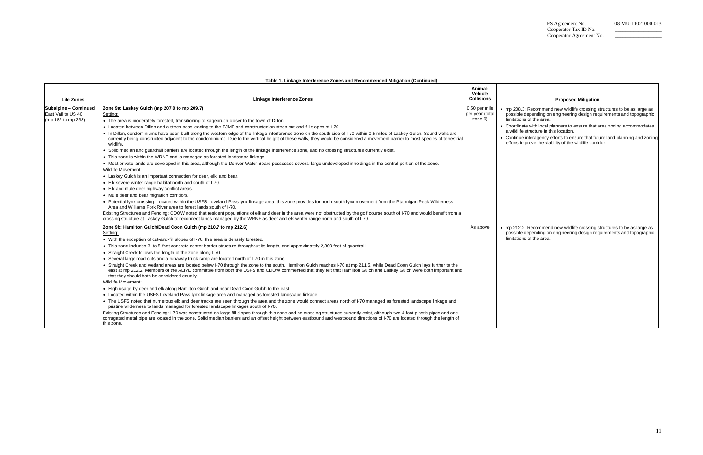**Table 1. Linkage Interference Zones and Recommended Mitigation (Continued)** 

# **Proposed Mitigation** • mp 208.3: Recommend new wildlife crossing structures to be as large as possible depending on engineering design requirements and topographic limitations of the area. nate with local planners to ensure that area zoning accommodates a wildlife structure in this location. • Continue interagency efforts to ensure that future land planning and zoning efforts improve the viability of the wildlife corridor. As above • mp 212.2: Recommend new wildlife crossing structures to be as large as possible depending on engineering design requirements and topographic limitations of the area.

| <b>Life Zones</b>                                                        | <b>Linkage Interference Zones</b>                                                                                                                                                                                                                                                                                                                                                                                                                                                                                                                                                                                                                                                                                                                                                                                                                                                                                                                                                                                                                                                                                                                                                                                                                                                                                                                                                                                                                                                                                                                                                                                                                                                                                                                                                                                                                                                                   | Animal-<br>Vehicle<br><b>Collisions</b>     |                                                                                               |
|--------------------------------------------------------------------------|-----------------------------------------------------------------------------------------------------------------------------------------------------------------------------------------------------------------------------------------------------------------------------------------------------------------------------------------------------------------------------------------------------------------------------------------------------------------------------------------------------------------------------------------------------------------------------------------------------------------------------------------------------------------------------------------------------------------------------------------------------------------------------------------------------------------------------------------------------------------------------------------------------------------------------------------------------------------------------------------------------------------------------------------------------------------------------------------------------------------------------------------------------------------------------------------------------------------------------------------------------------------------------------------------------------------------------------------------------------------------------------------------------------------------------------------------------------------------------------------------------------------------------------------------------------------------------------------------------------------------------------------------------------------------------------------------------------------------------------------------------------------------------------------------------------------------------------------------------------------------------------------------------|---------------------------------------------|-----------------------------------------------------------------------------------------------|
| <b>Subalpine - Continued</b><br>East Vail to US 40<br>(mp 182 to mp 233) | Zone 9a: Laskey Gulch (mp 207.0 to mp 209.7)<br>Setting:<br>• The area is moderately forested, transitioning to sagebrush closer to the town of Dillon.<br>• Located between Dillon and a steep pass leading to the EJMT and constructed on steep cut-and-fill slopes of I-70.<br>. In Dillon, condominiums have been built along the western edge of the linkage interference zone on the south side of I-70 within 0.5 miles of Laskey Gulch. Sound walls are<br>currently being constructed adjacent to the condominiums. Due to the vertical height of these walls, they would be considered a movement barrier to most species of terrestrial<br>wildlife.<br>• Solid median and guardrail barriers are located through the length of the linkage interference zone, and no crossing structures currently exist.<br>• This zone is within the WRNF and is managed as forested landscape linkage.<br>. Most private lands are developed in this area, although the Denver Water Board possesses several large undeveloped inholdings in the central portion of the zone.<br><b>Wildlife Movement:</b><br>• Laskey Gulch is an important connection for deer, elk, and bear.<br>• Elk severe winter range habitat north and south of I-70.<br>• Elk and mule deer highway conflict areas.<br>• Mule deer and bear migration corridors.<br>• Potential lynx crossing. Located within the USFS Loveland Pass lynx linkage area, this zone provides for north-south lynx movement from the Ptarmigan Peak Wilderness<br>Area and Williams Fork River area to forest lands south of I-70.<br>Existing Structures and Fencing: CDOW noted that resident populations of elk and deer in the area were not obstructed by the golf course south of I-70 and would benefit from a                                                                                                                         | 0.50 per mile<br>per year (total<br>zone 9) | $\bullet$ mp 208<br>possible<br>limitatic<br>• Coordin<br>a wildlif<br>• Continu<br>efforts i |
|                                                                          | crossing structure at Laskey Gulch to reconnect lands managed by the WRNF as deer and elk winter range north and south of I-70.<br>Zone 9b: Hamilton Gulch/Dead Coon Gulch (mp 210.7 to mp 212.6)<br>Setting:<br>• With the exception of cut-and-fill slopes of I-70, this area is densely forested.<br>• This zone includes 3- to 5-foot concrete center barrier structure throughout its length, and approximately 2,300 feet of guardrail.<br>• Straight Creek follows the length of the zone along I-70.<br>• Several large road cuts and a runaway truck ramp are located north of I-70 in this zone.<br>Straight Creek and wetland areas are located below I-70 through the zone to the south. Hamilton Gulch reaches I-70 at mp 211.5, while Dead Coon Gulch lays further to the<br>east at mp 212.2. Members of the ALIVE committee from both the USFS and CDOW commented that they felt that Hamilton Gulch and Laskey Gulch were both important and<br>that they should both be considered equally.<br><b>Wildlife Movement:</b><br>• High usage by deer and elk along Hamilton Gulch and near Dead Coon Gulch to the east.<br>• Located within the USFS Loveland Pass lynx linkage area and managed as forested landscape linkage.<br>• The USFS noted that numerous elk and deer tracks are seen through the area and the zone would connect areas north of I-70 managed as forested landscape linkage and<br>pristine wilderness to lands managed for forested landscape linkages south of I-70.<br>Existing Structures and Fencing: I-70 was constructed on large fill slopes through this zone and no crossing structures currently exist, although two 4-foot plastic pipes and one<br>corrugated metal pipe are located in the zone. Solid median barriers and an offset height between eastbound and westbound directions of I-70 are located through the length of<br>this zone. | As above                                    | $\bullet$ mp 212<br>possible<br>limitatic                                                     |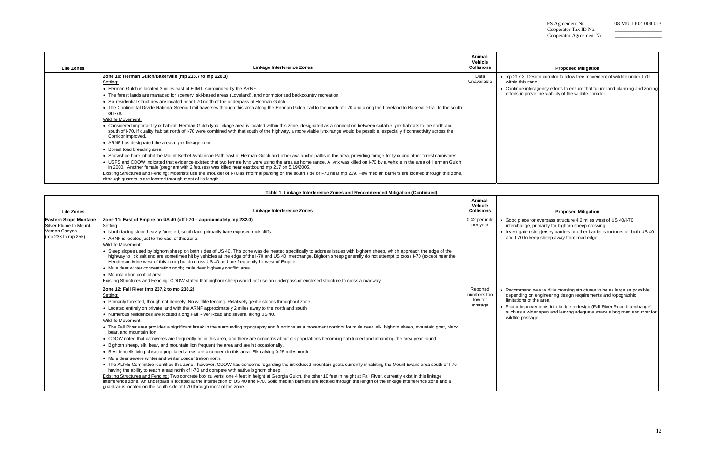7.3: Design corridor to allow free movement of wildlife under I-70 within this zone.

| <b>Life Zones</b> | Linkage Interference Zones                                                                                                                                                                                                                                                                                                                                                           | Animal-<br>Vehicle<br><b>Collisions</b> |                              |
|-------------------|--------------------------------------------------------------------------------------------------------------------------------------------------------------------------------------------------------------------------------------------------------------------------------------------------------------------------------------------------------------------------------------|-----------------------------------------|------------------------------|
|                   | Zone 10: Herman Gulch/Bakerville (mp 216.7 to mp 220.8)<br>Setting:                                                                                                                                                                                                                                                                                                                  | Data<br>Unavailable                     | $\bullet$ mp 217<br>within t |
|                   | • Herman Gulch is located 3 miles east of EJMT, surrounded by the ARNF.                                                                                                                                                                                                                                                                                                              |                                         | • Continu                    |
|                   | • The forest lands are managed for scenery, ski-based areas (Loveland), and nonmotorized backcountry recreation.                                                                                                                                                                                                                                                                     |                                         | efforts i                    |
|                   | Six residential structures are located near I-70 north of the underpass at Herman Gulch.                                                                                                                                                                                                                                                                                             |                                         |                              |
|                   | • The Continental Divide National Scenic Trail traverses through this area along the Herman Gulch trail to the north of I-70 and along the Loveland to Bakerville trail to the south  <br>of I-70.                                                                                                                                                                                   |                                         |                              |
|                   | <b>Wildlife Movement:</b>                                                                                                                                                                                                                                                                                                                                                            |                                         |                              |
|                   | • Considered important lynx habitat. Herman Gulch lynx linkage area is located within this zone, designated as a connection between suitable lynx habitats to the north and<br>south of I-70. If quality habitat north of I-70 were combined with that south of the highway, a more viable lynx range would be possible, especially if connectivity across the<br>Corridor improved. |                                         |                              |
|                   | • ARNF has designated the area a lynx linkage zone.                                                                                                                                                                                                                                                                                                                                  |                                         |                              |
|                   | • Boreal toad breeding area.                                                                                                                                                                                                                                                                                                                                                         |                                         |                              |
|                   | • Snowshoe hare inhabit the Mount Bethel Avalanche Path east of Herman Gulch and other avalanche paths in the area, providing forage for lynx and other forest carnivores.                                                                                                                                                                                                           |                                         |                              |
|                   | • USFS and CDOW indicated that evidence existed that two female lynx were using the area as home range. A lynx was killed on I-70 by a vehicle in the area of Herman Gulch<br>in 2000. Another female (pregnant with 2 fetuses) was killed near eastbound mp 217 on 5/19/2005.                                                                                                       |                                         |                              |
|                   | Existing Structures and Fencing: Motorists use the shoulder of I-70 as informal parking on the south side of I-70 near mp 219. Few median barriers are located through this zone,<br>although guardrails are located through most of its length.                                                                                                                                     |                                         |                              |

blace for overpass structure 4.2 miles west of US 40/I-70 iange, primarily for bighorn sheep crossing. • Investigate using jersey barriers or other barrier structures on both US 40 and I-70 to keep sheep away from road edge.

• Continue interagency efforts to ensure that future land planning and zoning efforts improve the viability of the wildlife corridor.

#### **Proposed Mitigation**

|                                                                                              | Table 1. Linkage Interference Zones and Recommended Mitigation (Continued)                                                                                                                                                                                                                                                                                                                                                                                                                                                                                                                                                                                                                                                                                                                                                                                                                                                                                                                                                                                                                                                                                                                                                                                                                                                                                                                                                                                                                                                                                                                                                                                                                                                                                          |                                               |                                                                      |
|----------------------------------------------------------------------------------------------|---------------------------------------------------------------------------------------------------------------------------------------------------------------------------------------------------------------------------------------------------------------------------------------------------------------------------------------------------------------------------------------------------------------------------------------------------------------------------------------------------------------------------------------------------------------------------------------------------------------------------------------------------------------------------------------------------------------------------------------------------------------------------------------------------------------------------------------------------------------------------------------------------------------------------------------------------------------------------------------------------------------------------------------------------------------------------------------------------------------------------------------------------------------------------------------------------------------------------------------------------------------------------------------------------------------------------------------------------------------------------------------------------------------------------------------------------------------------------------------------------------------------------------------------------------------------------------------------------------------------------------------------------------------------------------------------------------------------------------------------------------------------|-----------------------------------------------|----------------------------------------------------------------------|
| Life Zones                                                                                   | <b>Linkage Interference Zones</b>                                                                                                                                                                                                                                                                                                                                                                                                                                                                                                                                                                                                                                                                                                                                                                                                                                                                                                                                                                                                                                                                                                                                                                                                                                                                                                                                                                                                                                                                                                                                                                                                                                                                                                                                   | Animal-<br>Vehicle<br><b>Collisions</b>       |                                                                      |
| <b>Eastern Slope Montane</b><br>Silver Plume to Mount<br>Vernon Canyon<br>(mp 233 to mp 255) | Zone 11: East of Empire on US 40 (off I-70 - approximately mp 232.0)<br>Setting:<br>• North-facing slope heavily forested; south face primarily bare exposed rock cliffs.<br>• ARNF is located just to the east of this zone.<br>Wildlife Movement:<br>■ Steep slopes used by bighorn sheep on both sides of US 40. This zone was delineated specifically to address issues with bighorn sheep, which approach the edge of the<br>highway to lick salt and are sometimes hit by vehicles at the edge of the I-70 and US 40 interchange. Bighorn sheep generally do not attempt to cross I-70 (except near the<br>Henderson Mine west of this zone) but do cross US 40 and are frequently hit west of Empire.<br>• Mule deer winter concentration north; mule deer highway conflict area.<br>• Mountain lion conflict area.<br>Existing Structures and Fencing: CDOW stated that bighorn sheep would not use an underpass or enclosed structure to cross a roadway.                                                                                                                                                                                                                                                                                                                                                                                                                                                                                                                                                                                                                                                                                                                                                                                                  | 0.42 per mile<br>per year                     | $\bullet$ Good p<br>intercha<br>• Investig<br>and $I-7$              |
|                                                                                              | Zone 12: Fall River (mp 237.2 to mp 238.2)<br>Setting:<br>• Primarily forested, though not densely. No wildlife fencing. Relatively gentle slopes throughout zone.<br>• Located entirely on private land with the ARNF approximately 2 miles away to the north and south.<br>• Numerous residences are located along Fall River Road and several along US 40.<br><b>Wildlife Movement:</b><br>• The Fall River area provides a significant break in the surrounding topography and functions as a movement corridor for mule deer, elk, bighorn sheep, mountain goat, black<br>bear, and mountain lion.<br>. CDOW noted that carnivores are frequently hit in this area, and there are concerns about elk populations becoming habituated and inhabiting the area year-round.<br>• Bighorn sheep, elk, bear, and mountain lion frequent the area and are hit occasionally.<br>Resident elk living close to populated areas are a concern in this area. Elk calving 0.25 miles north.<br>• Mule deer severe winter and winter concentration north.<br>• The ALIVE Committee identified this zone, however, CDOW has concerns regarding the introduced mountain goats currently inhabiting the Mount Evans area south of I-70<br>having the ability to reach areas north of I-70 and compete with native bighorn sheep.<br>Existing Structures and Fencing: Two concrete box culverts, one 4 feet in height at Georgia Gulch, the other 10 feet in height at Fall River, currently exist in this linkage<br>interference zone. An underpass is located at the intersection of US 40 and I-70. Solid median barriers are located through the length of the linkage interference zone and a<br>guardrail is located on the south side of I-70 through most of the zone. | Reported<br>numbers too<br>low for<br>average | • Recomi<br>depend<br>limitatic<br>• Factor i<br>such as<br>wildlife |

#### **Proposed Mitigation**

• Recommend new wildlife crossing structures to be as large as possible depending on engineering design requirements and topographic limitations of the area.

> improvements into bridge redesign (Fall River Road Interchange) is a wider span and leaving adequate space along road and river for passage.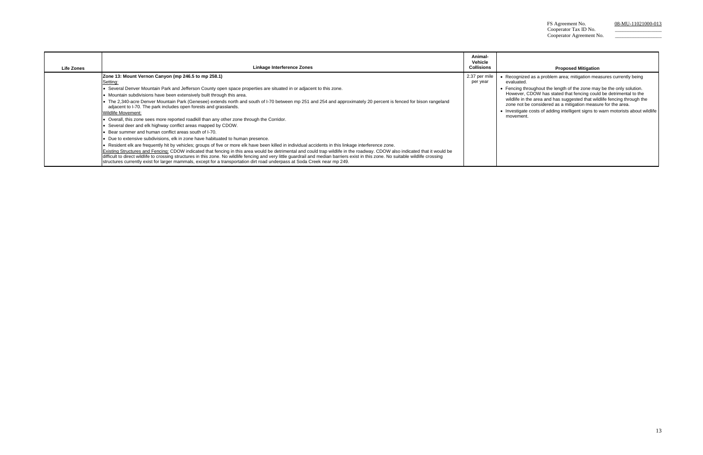# **Proposed Mitigation**

gnized as a problem area; mitigation measures currently being .<br>ated.

| <b>Life Zones</b> | Linkage Interference Zones                                                                                                                                                                                                                                                                                                                                                                                                                                                                                                                                                                                                                                                                                                                                                                                                                                                                                                                                                                                                                                                                                                                                                                                                                                                                                                                                                                                                                                                                               | Animal-<br>Vehicle<br><b>Collisions</b> |                                                                                        |
|-------------------|----------------------------------------------------------------------------------------------------------------------------------------------------------------------------------------------------------------------------------------------------------------------------------------------------------------------------------------------------------------------------------------------------------------------------------------------------------------------------------------------------------------------------------------------------------------------------------------------------------------------------------------------------------------------------------------------------------------------------------------------------------------------------------------------------------------------------------------------------------------------------------------------------------------------------------------------------------------------------------------------------------------------------------------------------------------------------------------------------------------------------------------------------------------------------------------------------------------------------------------------------------------------------------------------------------------------------------------------------------------------------------------------------------------------------------------------------------------------------------------------------------|-----------------------------------------|----------------------------------------------------------------------------------------|
|                   | Zone 13: Mount Vernon Canyon (mp 246.5 to mp 258.1)<br>Setting:<br>• Several Denver Mountain Park and Jefferson County open space properties are situated in or adjacent to this zone.<br>• Mountain subdivisions have been extensively built through this area.<br>• The 2,340-acre Denver Mountain Park (Genesee) extends north and south of I-70 between mp 251 and 254 and approximately 20 percent is fenced for bison rangeland<br>adjacent to I-70. The park includes open forests and grasslands.<br>Wildlife Movement:<br>• Overall, this zone sees more reported roadkill than any other zone through the Corridor.<br>• Several deer and elk highway conflict areas mapped by CDOW.<br>• Bear summer and human conflict areas south of I-70.<br>• Due to extensive subdivisions, elk in zone have habituated to human presence.<br>. Resident elk are frequently hit by vehicles; groups of five or more elk have been killed in individual accidents in this linkage interference zone.<br>Existing Structures and Fencing: CDOW indicated that fencing in this area would be detrimental and could trap wildlife in the roadway. CDOW also indicated that it would be<br>difficult to direct wildlife to crossing structures in this zone. No wildlife fencing and very little quardrail and median barriers exist in this zone. No suitable wildlife crossing<br>structures currently exist for larger mammals, except for a transportation dirt road underpass at Soda Creek near mp 249. | 2.37 per mile<br>per year               | Recog<br>evalua<br>$\bullet$ Fencin<br>Howey<br>wildlife<br>zone r<br>Investi<br>mover |

 • Fencing throughout the length of the zone may be the only solution. However, CDOW has stated that fencing could be detrimental to the wildlife in the area and has suggested that wildlife fencing through the zone not be considered as a mitigation measure for the area.

tigate costs of adding intelligent signs to warn motorists about wildlife ment.